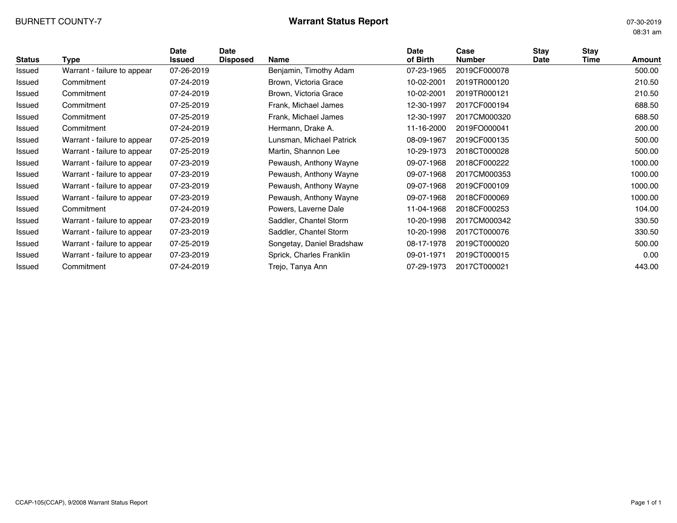# BURNETT COUNTY-7 **Warrant Status Report** 07-30-2019

08:31 am

| <b>Status</b> | Type                        | <b>Date</b><br>Issued | Date<br><b>Disposed</b> | <b>Name</b>               | <b>Date</b><br>of Birth | Case<br><b>Number</b> | Stav<br>Date | <b>Stay</b><br>Time | Amount  |
|---------------|-----------------------------|-----------------------|-------------------------|---------------------------|-------------------------|-----------------------|--------------|---------------------|---------|
| Issued        | Warrant - failure to appear | 07-26-2019            |                         | Benjamin, Timothy Adam    | 07-23-1965              | 2019CF000078          |              |                     | 500.00  |
| Issued        | Commitment                  | 07-24-2019            |                         | Brown, Victoria Grace     | 10-02-2001              | 2019TR000120          |              |                     | 210.50  |
| Issued        | Commitment                  | 07-24-2019            |                         | Brown, Victoria Grace     | 10-02-2001              | 2019TR000121          |              |                     | 210.50  |
| Issued        | Commitment                  | 07-25-2019            |                         | Frank, Michael James      | 12-30-1997              | 2017CF000194          |              |                     | 688.50  |
| Issued        | Commitment                  | 07-25-2019            |                         | Frank, Michael James      | 12-30-1997              | 2017CM000320          |              |                     | 688.50  |
| Issued        | Commitment                  | 07-24-2019            |                         | Hermann, Drake A.         | 11-16-2000              | 2019FO000041          |              |                     | 200.00  |
| Issued        | Warrant - failure to appear | 07-25-2019            |                         | Lunsman, Michael Patrick  | 08-09-1967              | 2019CF000135          |              |                     | 500.00  |
| Issued        | Warrant - failure to appear | 07-25-2019            |                         | Martin, Shannon Lee       | 10-29-1973              | 2018CT000028          |              |                     | 500.00  |
| Issued        | Warrant - failure to appear | 07-23-2019            |                         | Pewaush, Anthony Wayne    | 09-07-1968              | 2018CF000222          |              |                     | 1000.00 |
| Issued        | Warrant - failure to appear | 07-23-2019            |                         | Pewaush, Anthony Wayne    | 09-07-1968              | 2017CM000353          |              |                     | 1000.00 |
| Issued        | Warrant - failure to appear | 07-23-2019            |                         | Pewaush, Anthony Wayne    | 09-07-1968              | 2019CF000109          |              |                     | 1000.00 |
| Issued        | Warrant - failure to appear | 07-23-2019            |                         | Pewaush, Anthony Wayne    | 09-07-1968              | 2018CF000069          |              |                     | 1000.00 |
| Issued        | Commitment                  | 07-24-2019            |                         | Powers, Laverne Dale      | 11-04-1968              | 2018CF000253          |              |                     | 104.00  |
| Issued        | Warrant - failure to appear | 07-23-2019            |                         | Saddler, Chantel Storm    | 10-20-1998              | 2017CM000342          |              |                     | 330.50  |
| Issued        | Warrant - failure to appear | 07-23-2019            |                         | Saddler, Chantel Storm    | 10-20-1998              | 2017CT000076          |              |                     | 330.50  |
| Issued        | Warrant - failure to appear | 07-25-2019            |                         | Songetay, Daniel Bradshaw | 08-17-1978              | 2019CT000020          |              |                     | 500.00  |
| Issued        | Warrant - failure to appear | 07-23-2019            |                         | Sprick, Charles Franklin  | 09-01-1971              | 2019CT000015          |              |                     | 0.00    |
| Issued        | Commitment                  | 07-24-2019            |                         | Trejo, Tanya Ann          | 07-29-1973              | 2017CT000021          |              |                     | 443.00  |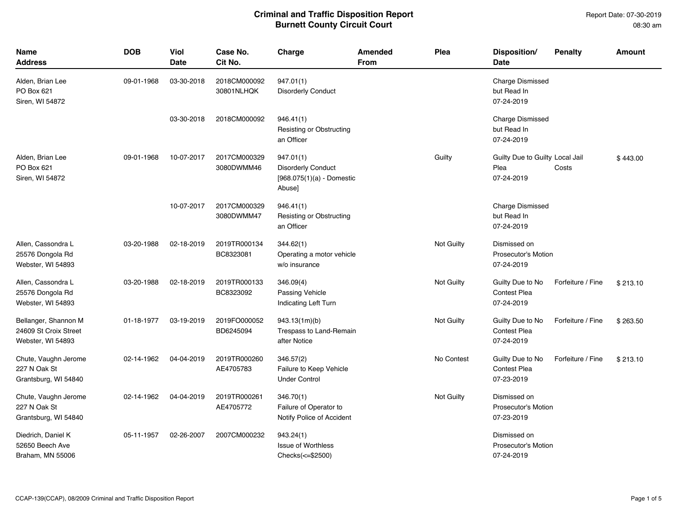| Name<br><b>Address</b>                                             | <b>DOB</b> | Viol<br><b>Date</b> | Case No.<br>Cit No.        | Charge                                                                          | <b>Amended</b><br><b>From</b> | Plea       | Disposition/<br><b>Date</b>                           | <b>Penalty</b>    | <b>Amount</b> |
|--------------------------------------------------------------------|------------|---------------------|----------------------------|---------------------------------------------------------------------------------|-------------------------------|------------|-------------------------------------------------------|-------------------|---------------|
| Alden, Brian Lee<br>PO Box 621<br>Siren, WI 54872                  | 09-01-1968 | 03-30-2018          | 2018CM000092<br>30801NLHQK | 947.01(1)<br><b>Disorderly Conduct</b>                                          |                               |            | <b>Charge Dismissed</b><br>but Read In<br>07-24-2019  |                   |               |
|                                                                    |            | 03-30-2018          | 2018CM000092               | 946.41(1)<br>Resisting or Obstructing<br>an Officer                             |                               |            | <b>Charge Dismissed</b><br>but Read In<br>07-24-2019  |                   |               |
| Alden, Brian Lee<br>PO Box 621<br>Siren, WI 54872                  | 09-01-1968 | 10-07-2017          | 2017CM000329<br>3080DWMM46 | 947.01(1)<br><b>Disorderly Conduct</b><br>$[968.075(1)(a)$ - Domestic<br>Abuse] |                               | Guilty     | Guilty Due to Guilty Local Jail<br>Plea<br>07-24-2019 | Costs             | \$443.00      |
|                                                                    |            | 10-07-2017          | 2017CM000329<br>3080DWMM47 | 946.41(1)<br>Resisting or Obstructing<br>an Officer                             |                               |            | <b>Charge Dismissed</b><br>but Read In<br>07-24-2019  |                   |               |
| Allen, Cassondra L<br>25576 Dongola Rd<br>Webster, WI 54893        | 03-20-1988 | 02-18-2019          | 2019TR000134<br>BC8323081  | 344.62(1)<br>Operating a motor vehicle<br>w/o insurance                         |                               | Not Guilty | Dismissed on<br>Prosecutor's Motion<br>07-24-2019     |                   |               |
| Allen, Cassondra L<br>25576 Dongola Rd<br>Webster, WI 54893        | 03-20-1988 | 02-18-2019          | 2019TR000133<br>BC8323092  | 346.09(4)<br>Passing Vehicle<br>Indicating Left Turn                            |                               | Not Guilty | Guilty Due to No<br><b>Contest Plea</b><br>07-24-2019 | Forfeiture / Fine | \$213.10      |
| Bellanger, Shannon M<br>24609 St Croix Street<br>Webster, WI 54893 | 01-18-1977 | 03-19-2019          | 2019FO000052<br>BD6245094  | 943.13(1m)(b)<br>Trespass to Land-Remain<br>after Notice                        |                               | Not Guilty | Guilty Due to No<br><b>Contest Plea</b><br>07-24-2019 | Forfeiture / Fine | \$263.50      |
| Chute, Vaughn Jerome<br>227 N Oak St<br>Grantsburg, WI 54840       | 02-14-1962 | 04-04-2019          | 2019TR000260<br>AE4705783  | 346.57(2)<br>Failure to Keep Vehicle<br><b>Under Control</b>                    |                               | No Contest | Guilty Due to No<br><b>Contest Plea</b><br>07-23-2019 | Forfeiture / Fine | \$213.10      |
| Chute, Vaughn Jerome<br>227 N Oak St<br>Grantsburg, WI 54840       | 02-14-1962 | 04-04-2019          | 2019TR000261<br>AE4705772  | 346.70(1)<br>Failure of Operator to<br>Notify Police of Accident                |                               | Not Guilty | Dismissed on<br>Prosecutor's Motion<br>07-23-2019     |                   |               |
| Diedrich, Daniel K<br>52650 Beech Ave<br>Braham, MN 55006          | 05-11-1957 | 02-26-2007          | 2007CM000232               | 943.24(1)<br><b>Issue of Worthless</b><br>Checks(<=\$2500)                      |                               |            | Dismissed on<br>Prosecutor's Motion<br>07-24-2019     |                   |               |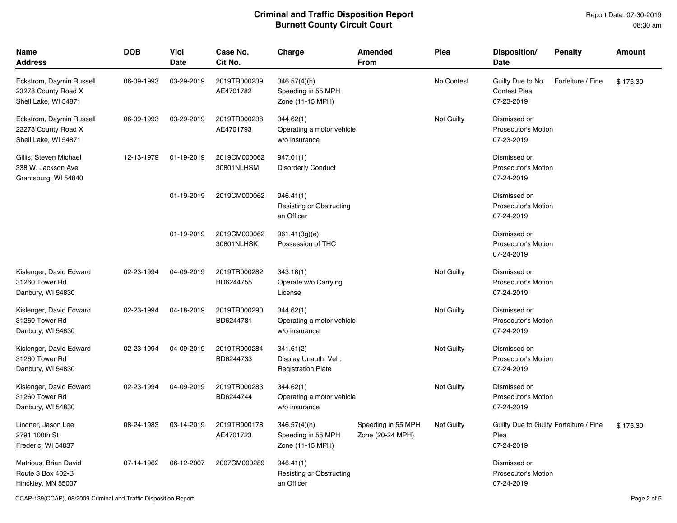| <b>Name</b><br><b>Address</b>                                           | <b>DOB</b> | <b>Viol</b><br>Date | Case No.<br>Cit No.        | Charge                                                         | Amended<br>From                        | Plea       | Disposition/<br><b>Date</b>                                  | <b>Penalty</b>    | <b>Amount</b> |
|-------------------------------------------------------------------------|------------|---------------------|----------------------------|----------------------------------------------------------------|----------------------------------------|------------|--------------------------------------------------------------|-------------------|---------------|
| Eckstrom, Daymin Russell<br>23278 County Road X<br>Shell Lake, WI 54871 | 06-09-1993 | 03-29-2019          | 2019TR000239<br>AE4701782  | $346.57(4)$ (h)<br>Speeding in 55 MPH<br>Zone (11-15 MPH)      |                                        | No Contest | Guilty Due to No<br><b>Contest Plea</b><br>07-23-2019        | Forfeiture / Fine | \$175.30      |
| Eckstrom, Daymin Russell<br>23278 County Road X<br>Shell Lake, WI 54871 | 06-09-1993 | 03-29-2019          | 2019TR000238<br>AE4701793  | 344.62(1)<br>Operating a motor vehicle<br>w/o insurance        |                                        | Not Guilty | Dismissed on<br><b>Prosecutor's Motion</b><br>07-23-2019     |                   |               |
| Gillis, Steven Michael<br>338 W. Jackson Ave.<br>Grantsburg, WI 54840   | 12-13-1979 | 01-19-2019          | 2019CM000062<br>30801NLHSM | 947.01(1)<br><b>Disorderly Conduct</b>                         |                                        |            | Dismissed on<br><b>Prosecutor's Motion</b><br>07-24-2019     |                   |               |
|                                                                         |            | 01-19-2019          | 2019CM000062               | 946.41(1)<br><b>Resisting or Obstructing</b><br>an Officer     |                                        |            | Dismissed on<br><b>Prosecutor's Motion</b><br>07-24-2019     |                   |               |
|                                                                         |            | 01-19-2019          | 2019CM000062<br>30801NLHSK | 961.41(3g)(e)<br>Possession of THC                             |                                        |            | Dismissed on<br>Prosecutor's Motion<br>07-24-2019            |                   |               |
| Kislenger, David Edward<br>31260 Tower Rd<br>Danbury, WI 54830          | 02-23-1994 | 04-09-2019          | 2019TR000282<br>BD6244755  | 343.18(1)<br>Operate w/o Carrying<br>License                   |                                        | Not Guilty | Dismissed on<br>Prosecutor's Motion<br>07-24-2019            |                   |               |
| Kislenger, David Edward<br>31260 Tower Rd<br>Danbury, WI 54830          | 02-23-1994 | 04-18-2019          | 2019TR000290<br>BD6244781  | 344.62(1)<br>Operating a motor vehicle<br>w/o insurance        |                                        | Not Guilty | Dismissed on<br>Prosecutor's Motion<br>07-24-2019            |                   |               |
| Kislenger, David Edward<br>31260 Tower Rd<br>Danbury, WI 54830          | 02-23-1994 | 04-09-2019          | 2019TR000284<br>BD6244733  | 341.61(2)<br>Display Unauth. Veh.<br><b>Registration Plate</b> |                                        | Not Guilty | Dismissed on<br>Prosecutor's Motion<br>07-24-2019            |                   |               |
| Kislenger, David Edward<br>31260 Tower Rd<br>Danbury, WI 54830          | 02-23-1994 | 04-09-2019          | 2019TR000283<br>BD6244744  | 344.62(1)<br>Operating a motor vehicle<br>w/o insurance        |                                        | Not Guilty | Dismissed on<br>Prosecutor's Motion<br>07-24-2019            |                   |               |
| Lindner, Jason Lee<br>2791 100th St<br>Frederic, WI 54837               | 08-24-1983 | 03-14-2019          | 2019TR000178<br>AE4701723  | 346.57(4)(h)<br>Speeding in 55 MPH<br>Zone (11-15 MPH)         | Speeding in 55 MPH<br>Zone (20-24 MPH) | Not Guilty | Guilty Due to Guilty Forfeiture / Fine<br>Plea<br>07-24-2019 |                   | \$175.30      |
| Matrious, Brian David<br>Route 3 Box 402-B<br>Hinckley, MN 55037        | 07-14-1962 | 06-12-2007          | 2007CM000289               | 946.41(1)<br>Resisting or Obstructing<br>an Officer            |                                        |            | Dismissed on<br><b>Prosecutor's Motion</b><br>07-24-2019     |                   |               |

CCAP-139(CCAP), 08/2009 Criminal and Traffic Disposition Report **Page 2 of 5** and Traffic Disposition Report Page 2 of 5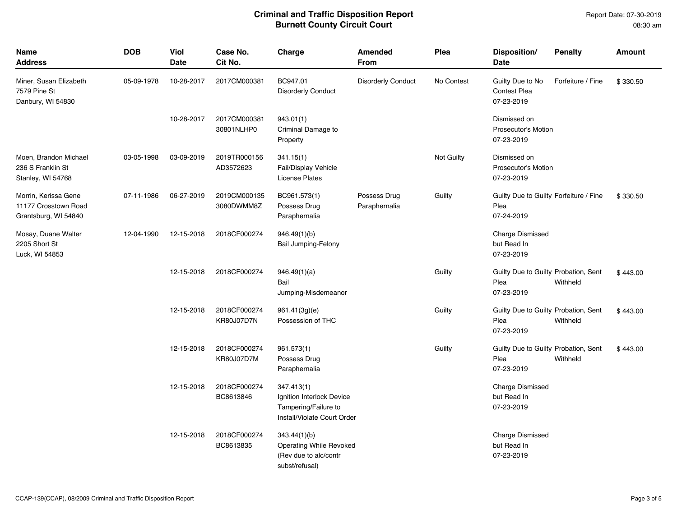| <b>Name</b><br><b>Address</b>                                        | <b>DOB</b> | Viol<br><b>Date</b> | Case No.<br>Cit No.               | Charge                                                                                         | Amended<br><b>From</b>        | Plea       | Disposition/<br>Date                                         | <b>Penalty</b>    | <b>Amount</b> |
|----------------------------------------------------------------------|------------|---------------------|-----------------------------------|------------------------------------------------------------------------------------------------|-------------------------------|------------|--------------------------------------------------------------|-------------------|---------------|
| Miner, Susan Elizabeth<br>7579 Pine St<br>Danbury, WI 54830          | 05-09-1978 | 10-28-2017          | 2017CM000381                      | BC947.01<br><b>Disorderly Conduct</b>                                                          | <b>Disorderly Conduct</b>     | No Contest | Guilty Due to No<br><b>Contest Plea</b><br>07-23-2019        | Forfeiture / Fine | \$330.50      |
|                                                                      |            | 10-28-2017          | 2017CM000381<br>30801NLHP0        | 943.01(1)<br>Criminal Damage to<br>Property                                                    |                               |            | Dismissed on<br>Prosecutor's Motion<br>07-23-2019            |                   |               |
| Moen, Brandon Michael<br>236 S Franklin St<br>Stanley, WI 54768      | 03-05-1998 | 03-09-2019          | 2019TR000156<br>AD3572623         | 341.15(1)<br>Fail/Display Vehicle<br><b>License Plates</b>                                     |                               | Not Guilty | Dismissed on<br><b>Prosecutor's Motion</b><br>07-23-2019     |                   |               |
| Morrin, Kerissa Gene<br>11177 Crosstown Road<br>Grantsburg, WI 54840 | 07-11-1986 | 06-27-2019          | 2019CM000135<br>3080DWMM8Z        | BC961.573(1)<br>Possess Drug<br>Paraphernalia                                                  | Possess Drug<br>Paraphernalia | Guilty     | Guilty Due to Guilty Forfeiture / Fine<br>Plea<br>07-24-2019 |                   | \$330.50      |
| Mosay, Duane Walter<br>2205 Short St<br>Luck, WI 54853               | 12-04-1990 | 12-15-2018          | 2018CF000274                      | 946.49(1)(b)<br>Bail Jumping-Felony                                                            |                               |            | <b>Charge Dismissed</b><br>but Read In<br>07-23-2019         |                   |               |
|                                                                      |            | 12-15-2018          | 2018CF000274                      | 946.49(1)(a)<br>Bail<br>Jumping-Misdemeanor                                                    |                               | Guilty     | Guilty Due to Guilty Probation, Sent<br>Plea<br>07-23-2019   | Withheld          | \$443.00      |
|                                                                      |            | 12-15-2018          | 2018CF000274<br><b>KR80J07D7N</b> | 961.41(3g)(e)<br>Possession of THC                                                             |                               | Guilty     | Guilty Due to Guilty Probation, Sent<br>Plea<br>07-23-2019   | Withheld          | \$443.00      |
|                                                                      |            | 12-15-2018          | 2018CF000274<br>KR80J07D7M        | 961.573(1)<br>Possess Drug<br>Paraphernalia                                                    |                               | Guilty     | Guilty Due to Guilty Probation, Sent<br>Plea<br>07-23-2019   | Withheld          | \$443.00      |
|                                                                      |            | 12-15-2018          | 2018CF000274<br>BC8613846         | 347.413(1)<br>Ignition Interlock Device<br>Tampering/Failure to<br>Install/Violate Court Order |                               |            | <b>Charge Dismissed</b><br>but Read In<br>07-23-2019         |                   |               |
|                                                                      |            | 12-15-2018          | 2018CF000274<br>BC8613835         | 343.44(1)(b)<br><b>Operating While Revoked</b><br>(Rev due to alc/contr<br>subst/refusal)      |                               |            | <b>Charge Dismissed</b><br>but Read In<br>07-23-2019         |                   |               |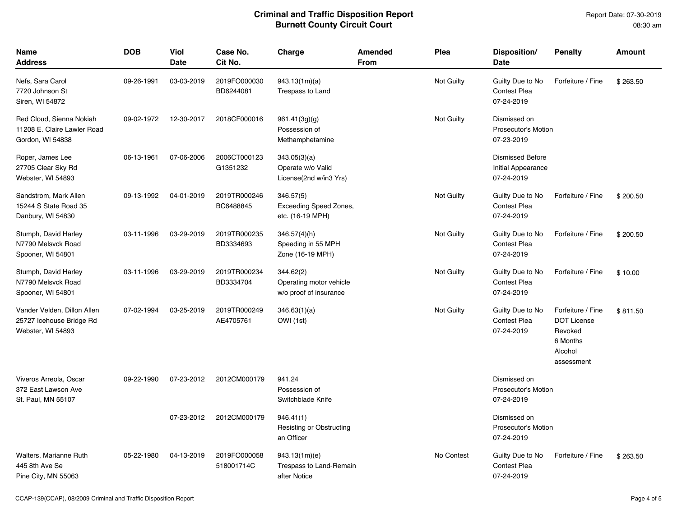| Name<br><b>Address</b>                                                       | <b>DOB</b> | <b>Viol</b><br><b>Date</b> | Case No.<br>Cit No.        | Charge                                                          | <b>Amended</b><br><b>From</b> | Plea       | Disposition/<br>Date                                        | <b>Penalty</b>                                                                          | <b>Amount</b> |
|------------------------------------------------------------------------------|------------|----------------------------|----------------------------|-----------------------------------------------------------------|-------------------------------|------------|-------------------------------------------------------------|-----------------------------------------------------------------------------------------|---------------|
| Nefs, Sara Carol<br>7720 Johnson St<br>Siren, WI 54872                       | 09-26-1991 | 03-03-2019                 | 2019FO000030<br>BD6244081  | 943.13(1m)(a)<br>Trespass to Land                               |                               | Not Guilty | Guilty Due to No<br><b>Contest Plea</b><br>07-24-2019       | Forfeiture / Fine                                                                       | \$263.50      |
| Red Cloud, Sienna Nokiah<br>11208 E. Claire Lawler Road<br>Gordon, WI 54838  | 09-02-1972 | 12-30-2017                 | 2018CF000016               | 961.41(3g)(g)<br>Possession of<br>Methamphetamine               |                               | Not Guilty | Dismissed on<br><b>Prosecutor's Motion</b><br>07-23-2019    |                                                                                         |               |
| Roper, James Lee<br>27705 Clear Sky Rd<br>Webster, WI 54893                  | 06-13-1961 | 07-06-2006                 | 2006CT000123<br>G1351232   | 343.05(3)(a)<br>Operate w/o Valid<br>License(2nd w/in3 Yrs)     |                               |            | <b>Dismissed Before</b><br>Initial Appearance<br>07-24-2019 |                                                                                         |               |
| Sandstrom, Mark Allen<br>15244 S State Road 35<br>Danbury, WI 54830          | 09-13-1992 | 04-01-2019                 | 2019TR000246<br>BC6488845  | 346.57(5)<br>Exceeding Speed Zones,<br>etc. (16-19 MPH)         |                               | Not Guilty | Guilty Due to No<br><b>Contest Plea</b><br>07-24-2019       | Forfeiture / Fine                                                                       | \$200.50      |
| Stumph, David Harley<br>N7790 Melsvck Road<br>Spooner, WI 54801              | 03-11-1996 | 03-29-2019                 | 2019TR000235<br>BD3334693  | $346.57(4)$ (h)<br>Speeding in 55 MPH<br>Zone (16-19 MPH)       |                               | Not Guilty | Guilty Due to No<br><b>Contest Plea</b><br>07-24-2019       | Forfeiture / Fine                                                                       | \$200.50      |
| Stumph, David Harley<br>N7790 Melsvck Road<br>Spooner, WI 54801              | 03-11-1996 | 03-29-2019                 | 2019TR000234<br>BD3334704  | 344.62(2)<br>Operating motor vehicle<br>w/o proof of insurance  |                               | Not Guilty | Guilty Due to No<br><b>Contest Plea</b><br>07-24-2019       | Forfeiture / Fine                                                                       | \$10.00       |
| Vander Velden, Dillon Allen<br>25727 Icehouse Bridge Rd<br>Webster, WI 54893 | 07-02-1994 | 03-25-2019                 | 2019TR000249<br>AE4705761  | 346.63(1)(a)<br>OWI (1st)                                       |                               | Not Guilty | Guilty Due to No<br><b>Contest Plea</b><br>07-24-2019       | Forfeiture / Fine<br><b>DOT License</b><br>Revoked<br>6 Months<br>Alcohol<br>assessment | \$811.50      |
| Viveros Arreola, Oscar<br>372 East Lawson Ave<br>St. Paul, MN 55107          | 09-22-1990 | 07-23-2012                 | 2012CM000179               | 941.24<br>Possession of<br>Switchblade Knife                    |                               |            | Dismissed on<br>Prosecutor's Motion<br>07-24-2019           |                                                                                         |               |
|                                                                              |            | 07-23-2012                 | 2012CM000179               | 946.41(1)<br>Resisting or Obstructing<br>an Officer             |                               |            | Dismissed on<br>Prosecutor's Motion<br>07-24-2019           |                                                                                         |               |
| Walters, Marianne Ruth<br>445 8th Ave Se<br>Pine City, MN 55063              | 05-22-1980 | 04-13-2019                 | 2019FO000058<br>518001714C | 943.13(1m)(e)<br><b>Trespass to Land-Remain</b><br>after Notice |                               | No Contest | Guilty Due to No<br><b>Contest Plea</b><br>07-24-2019       | Forfeiture / Fine                                                                       | \$263.50      |